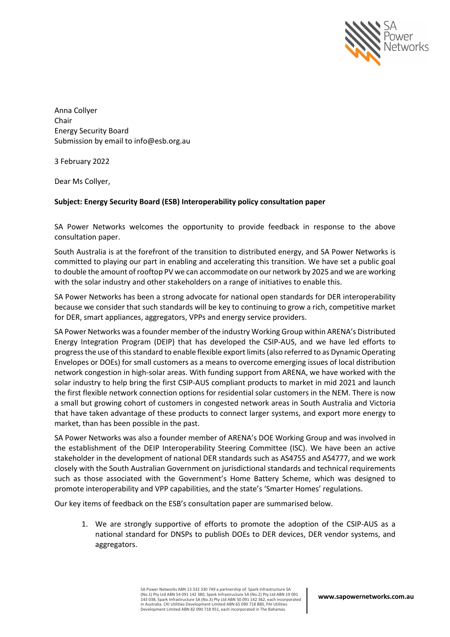

Anna Collyer Chair Energy Security Board Submission by email to info@esb.org.au

3 February 2022

Dear Ms Collyer,

### **Subject: Energy Security Board (ESB) Interoperability policy consultation paper**

SA Power Networks welcomes the opportunity to provide feedback in response to the above consultation paper.

South Australia is at the forefront of the transition to distributed energy, and SA Power Networks is committed to playing our part in enabling and accelerating this transition. We have set a public goal to double the amount of rooftop PV we can accommodate on our network by 2025 and we are working with the solar industry and other stakeholders on a range of initiatives to enable this.

SA Power Networks has been a strong advocate for national open standards for DER interoperability because we consider that such standards will be key to continuing to grow a rich, competitive market for DER, smart appliances, aggregators, VPPs and energy service providers.

SA Power Networks was a founder member of the industry Working Group within ARENA's Distributed Energy Integration Program (DEIP) that has developed the CSIP-AUS, and we have led efforts to progress the use of this standard to enable flexible export limits (also referred to as Dynamic Operating Envelopes or DOEs) for small customers as a means to overcome emerging issues of local distribution network congestion in high-solar areas. With funding support from ARENA, we have worked with the solar industry to help bring the first CSIP-AUS compliant products to market in mid 2021 and launch the first flexible network connection options for residential solar customers in the NEM. There is now a small but growing cohort of customers in congested network areas in South Australia and Victoria that have taken advantage of these products to connect larger systems, and export more energy to market, than has been possible in the past.

SA Power Networks was also a founder member of ARENA's DOE Working Group and was involved in the establishment of the DEIP Interoperability Steering Committee (ISC). We have been an active stakeholder in the development of national DER standards such as AS4755 and AS4777, and we work closely with the South Australian Government on jurisdictional standards and technical requirements such as those associated with the Government's Home Battery Scheme, which was designed to promote interoperability and VPP capabilities, and the state's 'Smarter Homes' regulations.

Our key items of feedback on the ESB's consultation paper are summarised below.

1. We are strongly supportive of efforts to promote the adoption of the CSIP-AUS as a national standard for DNSPs to publish DOEs to DER devices, DER vendor systems, and aggregators.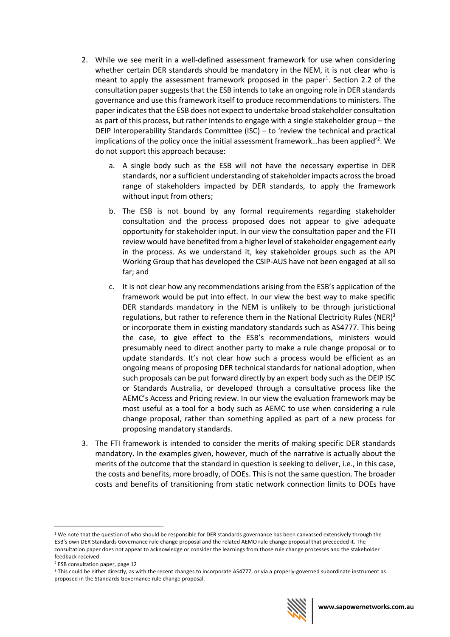- 2. While we see merit in a well-defined assessment framework for use when considering whether certain DER standards should be mandatory in the NEM, it is not clear who is meant to apply the assessment framework proposed in the paper<sup>1</sup>. Section 2.2 of the consultation paper suggests that the ESB intends to take an ongoing role in DER standards governance and use this framework itself to produce recommendations to ministers. The paper indicatesthat the ESB does not expect to undertake broad stakeholder consultation as part of this process, but rather intends to engage with a single stakeholder group – the DEIP Interoperability Standards Committee (ISC) – to 'review the technical and practical implications of the policy once the initial assessment framework...has been applied<sup>'2</sup>. We do not support this approach because:
	- a. A single body such as the ESB will not have the necessary expertise in DER standards, nor a sufficient understanding of stakeholder impacts across the broad range of stakeholders impacted by DER standards, to apply the framework without input from others;
	- b. The ESB is not bound by any formal requirements regarding stakeholder consultation and the process proposed does not appear to give adequate opportunity for stakeholder input. In our view the consultation paper and the FTI review would have benefited from a higher level of stakeholder engagement early in the process. As we understand it, key stakeholder groups such as the API Working Group that has developed the CSIP-AUS have not been engaged at all so far; and
	- c. It is not clear how any recommendations arising from the ESB's application of the framework would be put into effect. In our view the best way to make specific DER standards mandatory in the NEM is unlikely to be through juristictional regulations, but rather to reference them in the National Electricity Rules (NER) $3$ or incorporate them in existing mandatory standards such as AS4777. This being the case, to give effect to the ESB's recommendations, ministers would presumably need to direct another party to make a rule change proposal or to update standards. It's not clear how such a process would be efficient as an ongoing means of proposing DER technical standards for national adoption, when such proposals can be put forward directly by an expert body such as the DEIP ISC or Standards Australia, or developed through a consultative process like the AEMC's Access and Pricing review. In our view the evaluation framework may be most useful as a tool for a body such as AEMC to use when considering a rule change proposal, rather than something applied as part of a new process for proposing mandatory standards.
- 3. The FTI framework is intended to consider the merits of making specific DER standards mandatory. In the examples given, however, much of the narrative is actually about the merits of the outcome that the standard in question is seeking to deliver, i.e., in this case, the costs and benefits, more broadly, of DOEs. This is not the same question. The broader costs and benefits of transitioning from static network connection limits to DOEs have

<sup>&</sup>lt;sup>3</sup> This could be either directly, as with the recent changes to incorporate AS4777, or via a properly-governed subordinate instrument as proposed in the Standards Governance rule change proposal.



 $1$  We note that the question of who should be responsible for DER standards governance has been canvassed extensively through the ESB's own DER Standards Governance rule change proposal and the related AEMO rule change proposal that preceeded it. The consultation paper does not appear to acknowledge or consider the learnings from those rule change processes and the stakeholder feedback received.

<sup>2</sup> ESB consultation paper, page 12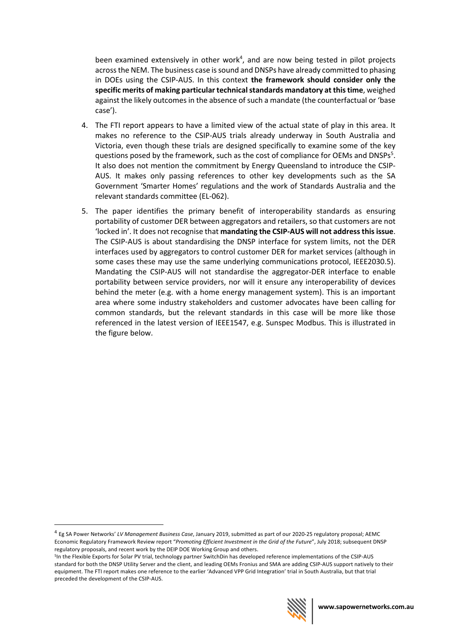been examined extensively in other work<sup>4</sup>, and are now being tested in pilot projects across the NEM. The business case is sound and DNSPs have already committed to phasing in DOEs using the CSIP-AUS. In this context **the framework should consider only the specific merits of making particular technical standards mandatory at this time**, weighed against the likely outcomes in the absence of such a mandate (the counterfactual or 'base case').

- 4. The FTI report appears to have a limited view of the actual state of play in this area. It makes no reference to the CSIP-AUS trials already underway in South Australia and Victoria, even though these trials are designed specifically to examine some of the key questions posed by the framework, such as the cost of compliance for OEMs and DNSPs<sup>5</sup>. It also does not mention the commitment by Energy Queensland to introduce the CSIP-AUS. It makes only passing references to other key developments such as the SA Government 'Smarter Homes' regulations and the work of Standards Australia and the relevant standards committee (EL-062).
- 5. The paper identifies the primary benefit of interoperability standards as ensuring portability of customer DER between aggregators and retailers, so that customers are not 'locked in'. It does not recognise that **mandating the CSIP-AUS will not address this issue**. The CSIP-AUS is about standardising the DNSP interface for system limits, not the DER interfaces used by aggregators to control customer DER for market services (although in some cases these may use the same underlying communications protocol, IEEE2030.5). Mandating the CSIP-AUS will not standardise the aggregator-DER interface to enable portability between service providers, nor will it ensure any interoperability of devices behind the meter (e.g. with a home energy management system). This is an important area where some industry stakeholders and customer advocates have been calling for common standards, but the relevant standards in this case will be more like those referenced in the latest version of IEEE1547, e.g. Sunspec Modbus. This is illustrated in the figure below.

<sup>&</sup>lt;sup>5</sup>In the Flexible Exports for Solar PV trial, technology partner SwitchDin has developed reference implementations of the CSIP-AUS standard for both the DNSP Utility Server and the client, and leading OEMs Fronius and SMA are adding CSIP-AUS support natively to their equipment. The FTI report makes one reference to the earlier 'Advanced VPP Grid Integration' trial in South Australia, but that trial preceded the development of the CSIP-AUS.



<sup>4</sup> Eg SA Power Networks' *LV Management Business Case*, January 2019, submitted as part of our 2020-25 regulatory proposal; AEMC Economic Regulatory Framework Review report "*Promoting Efficient Investment in the Grid of the Future*", July 2018; subsequent DNSP regulatory proposals, and recent work by the DEIP DOE Working Group and others.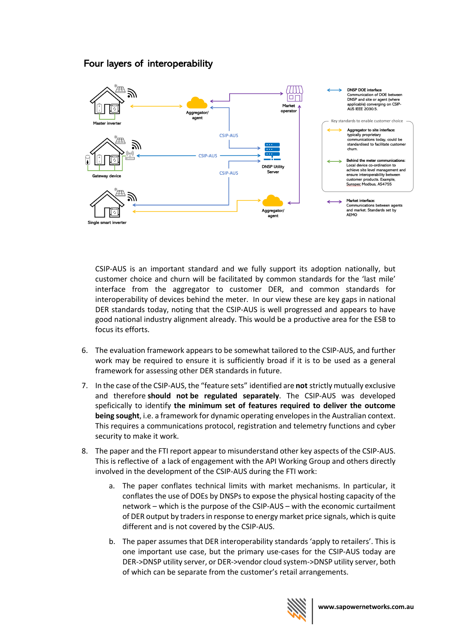# Four layers of interoperability



CSIP-AUS is an important standard and we fully support its adoption nationally, but customer choice and churn will be facilitated by common standards for the 'last mile' interface from the aggregator to customer DER, and common standards for interoperability of devices behind the meter. In our view these are key gaps in national DER standards today, noting that the CSIP-AUS is well progressed and appears to have good national industry alignment already. This would be a productive area for the ESB to focus its efforts.

- 6. The evaluation framework appears to be somewhat tailored to the CSIP-AUS, and further work may be required to ensure it is sufficiently broad if it is to be used as a general framework for assessing other DER standards in future.
- 7. In the case of the CSIP-AUS, the "feature sets" identified are **not** strictly mutually exclusive and therefore **should not be regulated separately**. The CSIP-AUS was developed speficically to identify **the minimum set of features required to deliver the outcome being sought**, i.e. a framework for dynamic operating envelopes in the Australian context. This requires a communications protocol, registration and telemetry functions and cyber security to make it work.
- 8. The paper and the FTI report appear to misunderstand other key aspects of the CSIP-AUS. This is reflective of a lack of engagement with the API Working Group and others directly involved in the development of the CSIP-AUS during the FTI work:
	- a. The paper conflates technical limits with market mechanisms. In particular, it conflates the use of DOEs by DNSPs to expose the physical hosting capacity of the network – which is the purpose of the CSIP-AUS – with the economic curtailment of DER output by traders in response to energy market price signals, which is quite different and is not covered by the CSIP-AUS.
	- b. The paper assumes that DER interoperability standards 'apply to retailers'. This is one important use case, but the primary use-cases for the CSIP-AUS today are DER->DNSP utility server, or DER->vendor cloud system->DNSP utility server, both of which can be separate from the customer's retail arrangements.

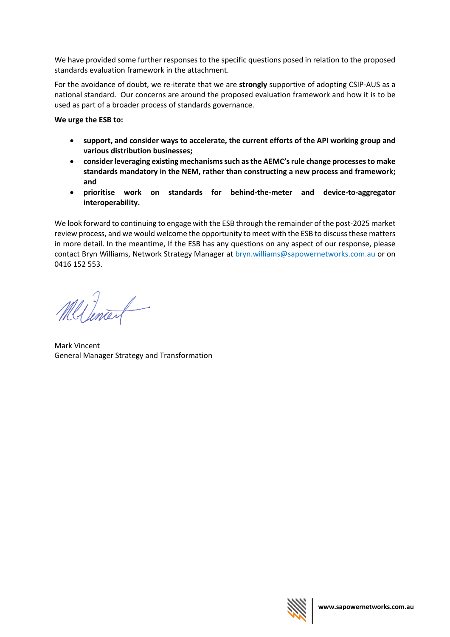We have provided some further responses to the specific questions posed in relation to the proposed standards evaluation framework in the attachment.

For the avoidance of doubt, we re-iterate that we are **strongly** supportive of adopting CSIP-AUS as a national standard. Our concerns are around the proposed evaluation framework and how it is to be used as part of a broader process of standards governance.

**We urge the ESB to:**

- **support, and consider ways to accelerate, the current efforts of the API working group and various distribution businesses;**
- **consider leveraging existing mechanisms such as the AEMC's rule change processes to make standards mandatory in the NEM, rather than constructing a new process and framework; and**
- **prioritise work on standards for behind-the-meter and device-to-aggregator interoperability.**

We look forward to continuing to engage with the ESB through the remainder of the post-2025 market review process, and we would welcome the opportunity to meet with the ESB to discuss these matters in more detail. In the meantime, If the ESB has any questions on any aspect of our response, please contact Bryn Williams, Network Strategy Manager at bryn.williams@sapowernetworks.com.au or on 0416 152 553.

Mellinart

Mark Vincent General Manager Strategy and Transformation

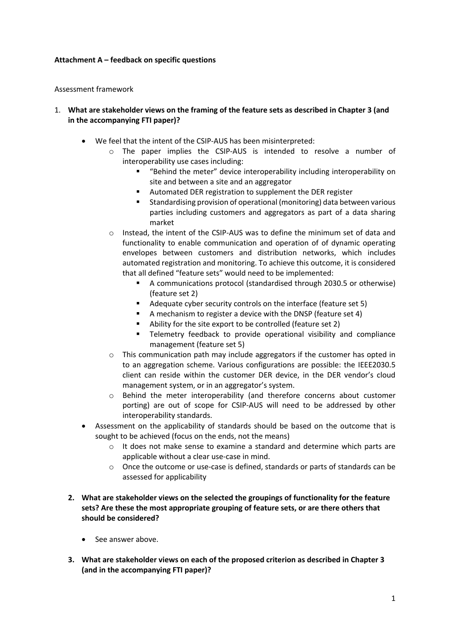#### **Attachment A – feedback on specific questions**

#### Assessment framework

### 1. **What are stakeholder views on the framing of the feature sets as described in Chapter 3 (and in the accompanying FTI paper)?**

- We feel that the intent of the CSIP-AUS has been misinterpreted:
	- o The paper implies the CSIP-AUS is intended to resolve a number of interoperability use cases including:
		- "Behind the meter" device interoperability including interoperability on site and between a site and an aggregator
		- Automated DER registration to supplement the DER register
		- § Standardising provision of operational (monitoring) data between various parties including customers and aggregators as part of a data sharing market
	- o Instead, the intent of the CSIP-AUS was to define the minimum set of data and functionality to enable communication and operation of of dynamic operating envelopes between customers and distribution networks, which includes automated registration and monitoring. To achieve this outcome, it is considered that all defined "feature sets" would need to be implemented:
		- A communications protocol (standardised through 2030.5 or otherwise) (feature set 2)
		- Adequate cyber security controls on the interface (feature set 5)
		- A mechanism to register a device with the DNSP (feature set 4)
		- § Ability for the site export to be controlled (feature set 2)
		- Telemetry feedback to provide operational visibility and compliance management (feature set 5)
	- o This communication path may include aggregators if the customer has opted in to an aggregation scheme. Various configurations are possible: the IEEE2030.5 client can reside within the customer DER device, in the DER vendor's cloud management system, or in an aggregator's system.
	- o Behind the meter interoperability (and therefore concerns about customer porting) are out of scope for CSIP-AUS will need to be addressed by other interoperability standards.
- Assessment on the applicability of standards should be based on the outcome that is sought to be achieved (focus on the ends, not the means)
	- $\circ$  It does not make sense to examine a standard and determine which parts are applicable without a clear use-case in mind.
	- o Once the outcome or use-case is defined, standards or parts of standards can be assessed for applicability
- **2. What are stakeholder views on the selected the groupings of functionality for the feature sets? Are these the most appropriate grouping of feature sets, or are there others that should be considered?** 
	- See answer above.
- **3. What are stakeholder views on each of the proposed criterion as described in Chapter 3 (and in the accompanying FTI paper)?**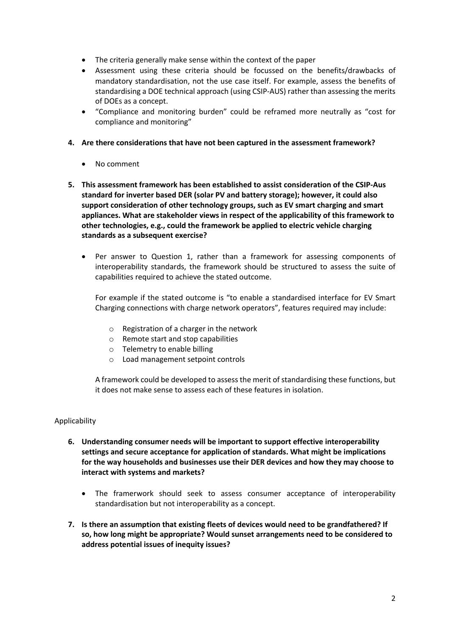- The criteria generally make sense within the context of the paper
- Assessment using these criteria should be focussed on the benefits/drawbacks of mandatory standardisation, not the use case itself. For example, assess the benefits of standardising a DOE technical approach (using CSIP-AUS) rather than assessing the merits of DOEs as a concept.
- "Compliance and monitoring burden" could be reframed more neutrally as "cost for compliance and monitoring"
- **4. Are there considerations that have not been captured in the assessment framework?** 
	- No comment
- **5. This assessment framework has been established to assist consideration of the CSIP-Aus standard for inverter based DER (solar PV and battery storage); however, it could also support consideration of other technology groups, such as EV smart charging and smart appliances. What are stakeholder views in respect of the applicability of this framework to other technologies, e.g., could the framework be applied to electric vehicle charging standards as a subsequent exercise?** 
	- Per answer to Question 1, rather than a framework for assessing components of interoperability standards, the framework should be structured to assess the suite of capabilities required to achieve the stated outcome.

For example if the stated outcome is "to enable a standardised interface for EV Smart Charging connections with charge network operators", features required may include:

- o Registration of a charger in the network
- o Remote start and stop capabilities
- o Telemetry to enable billing
- o Load management setpoint controls

A framework could be developed to assess the merit of standardising these functions, but it does not make sense to assess each of these features in isolation.

#### Applicability

- **6. Understanding consumer needs will be important to support effective interoperability settings and secure acceptance for application of standards. What might be implications for the way households and businesses use their DER devices and how they may choose to interact with systems and markets?** 
	- The framerwork should seek to assess consumer acceptance of interoperability standardisation but not interoperability as a concept.
- **7. Is there an assumption that existing fleets of devices would need to be grandfathered? If so, how long might be appropriate? Would sunset arrangements need to be considered to address potential issues of inequity issues?**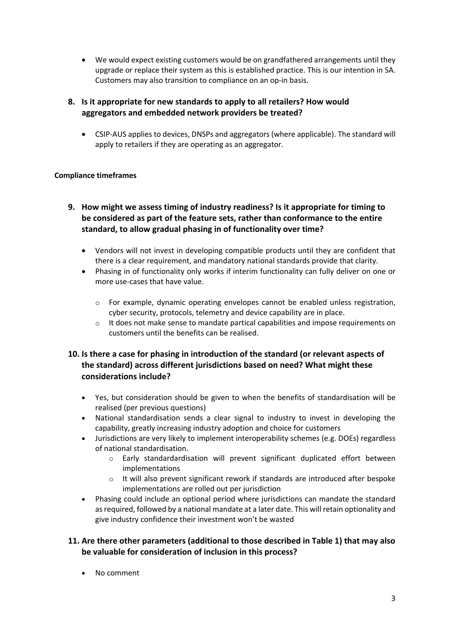• We would expect existing customers would be on grandfathered arrangements until they upgrade or replace their system as this is established practice. This is our intention in SA. Customers may also transition to compliance on an op-in basis.

## **8. Is it appropriate for new standards to apply to all retailers? How would aggregators and embedded network providers be treated?**

• CSIP-AUS applies to devices, DNSPs and aggregators (where applicable). The standard will apply to retailers if they are operating as an aggregator.

### **Compliance timeframes**

- **9. How might we assess timing of industry readiness? Is it appropriate for timing to be considered as part of the feature sets, rather than conformance to the entire standard, to allow gradual phasing in of functionality over time?**
	- Vendors will not invest in developing compatible products until they are confident that there is a clear requirement, and mandatory national standards provide that clarity.
	- Phasing in of functionality only works if interim functionality can fully deliver on one or more use-cases that have value.
		- $\circ$  For example, dynamic operating envelopes cannot be enabled unless registration, cyber security, protocols, telemetry and device capability are in place.
		- o It does not make sense to mandate partical capabilities and impose requirements on customers until the benefits can be realised.

## **10. Is there a case for phasing in introduction of the standard (or relevant aspects of the standard) across different jurisdictions based on need? What might these considerations include?**

- Yes, but consideration should be given to when the benefits of standardisation will be realised (per previous questions)
- National standardisation sends a clear signal to industry to invest in developing the capability, greatly increasing industry adoption and choice for customers
- Jurisdictions are very likely to implement interoperability schemes (e.g. DOEs) regardless of national standardisation.
	- $\circ$  Early standardardisation will prevent significant duplicated effort between implementations
	- $\circ$  It will also prevent significant rework if standards are introduced after bespoke implementations are rolled out per jurisdiction
- Phasing could include an optional period where jurisdictions can mandate the standard as required, followed by a national mandate at a later date. This will retain optionality and give industry confidence their investment won't be wasted

## **11. Are there other parameters (additional to those described in Table 1) that may also be valuable for consideration of inclusion in this process?**

• No comment